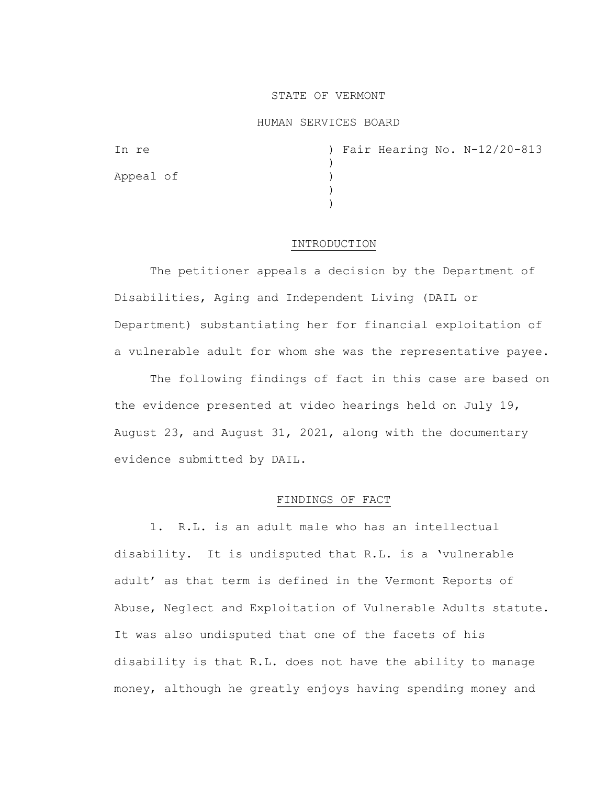## STATE OF VERMONT

#### HUMAN SERVICES BOARD

|  |  | ) Fair Hearing No. N-12/20-813 |
|--|--|--------------------------------|

#### INTRODUCTION

The petitioner appeals a decision by the Department of Disabilities, Aging and Independent Living (DAIL or Department) substantiating her for financial exploitation of a vulnerable adult for whom she was the representative payee.

The following findings of fact in this case are based on the evidence presented at video hearings held on July 19, August 23, and August 31, 2021, along with the documentary evidence submitted by DAIL.

## FINDINGS OF FACT

1. R.L. is an adult male who has an intellectual disability. It is undisputed that R.L. is a 'vulnerable adult' as that term is defined in the Vermont Reports of Abuse, Neglect and Exploitation of Vulnerable Adults statute. It was also undisputed that one of the facets of his disability is that R.L. does not have the ability to manage money, although he greatly enjoys having spending money and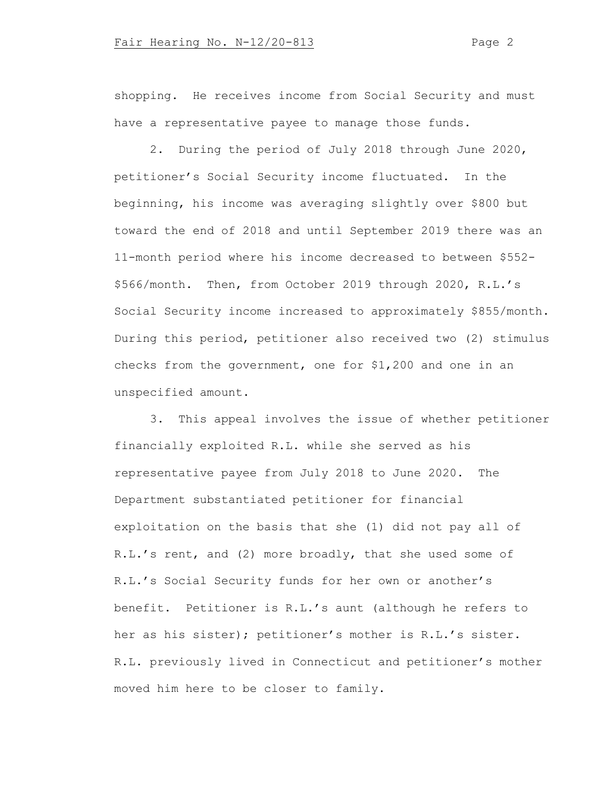shopping. He receives income from Social Security and must have a representative payee to manage those funds.

2. During the period of July 2018 through June 2020, petitioner's Social Security income fluctuated. In the beginning, his income was averaging slightly over \$800 but toward the end of 2018 and until September 2019 there was an 11-month period where his income decreased to between \$552- \$566/month. Then, from October 2019 through 2020, R.L.'s Social Security income increased to approximately \$855/month. During this period, petitioner also received two (2) stimulus checks from the government, one for \$1,200 and one in an unspecified amount.

3. This appeal involves the issue of whether petitioner financially exploited R.L. while she served as his representative payee from July 2018 to June 2020. The Department substantiated petitioner for financial exploitation on the basis that she (1) did not pay all of R.L.'s rent, and (2) more broadly, that she used some of R.L.'s Social Security funds for her own or another's benefit. Petitioner is R.L.'s aunt (although he refers to her as his sister); petitioner's mother is R.L.'s sister. R.L. previously lived in Connecticut and petitioner's mother moved him here to be closer to family.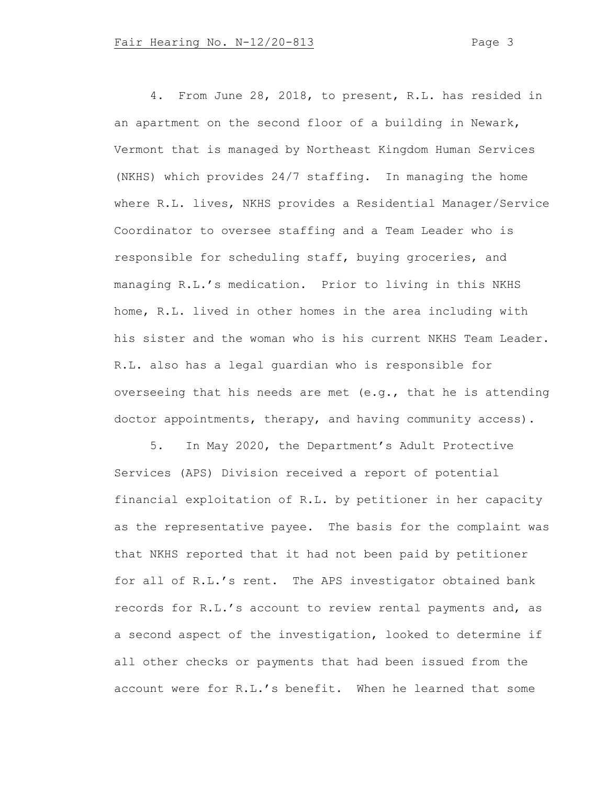4. From June 28, 2018, to present, R.L. has resided in an apartment on the second floor of a building in Newark, Vermont that is managed by Northeast Kingdom Human Services (NKHS) which provides 24/7 staffing. In managing the home where R.L. lives, NKHS provides a Residential Manager/Service Coordinator to oversee staffing and a Team Leader who is responsible for scheduling staff, buying groceries, and managing R.L.'s medication. Prior to living in this NKHS home, R.L. lived in other homes in the area including with his sister and the woman who is his current NKHS Team Leader. R.L. also has a legal guardian who is responsible for overseeing that his needs are met (e.g., that he is attending doctor appointments, therapy, and having community access).

5. In May 2020, the Department's Adult Protective Services (APS) Division received a report of potential financial exploitation of R.L. by petitioner in her capacity as the representative payee. The basis for the complaint was that NKHS reported that it had not been paid by petitioner for all of R.L.'s rent. The APS investigator obtained bank records for R.L.'s account to review rental payments and, as a second aspect of the investigation, looked to determine if all other checks or payments that had been issued from the account were for R.L.'s benefit. When he learned that some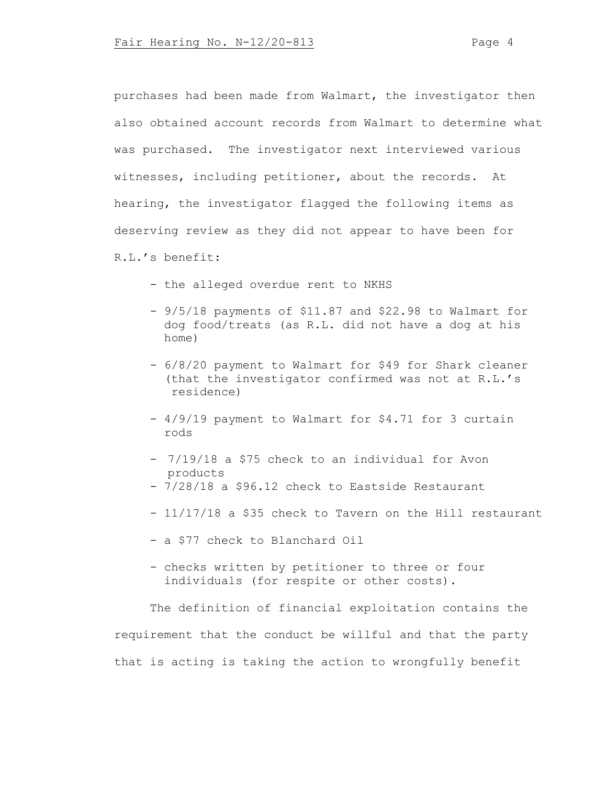purchases had been made from Walmart, the investigator then also obtained account records from Walmart to determine what was purchased. The investigator next interviewed various witnesses, including petitioner, about the records. At hearing, the investigator flagged the following items as deserving review as they did not appear to have been for R.L.'s benefit:

- the alleged overdue rent to NKHS

- 9/5/18 payments of \$11.87 and \$22.98 to Walmart for dog food/treats (as R.L. did not have a dog at his home)
- 6/8/20 payment to Walmart for \$49 for Shark cleaner (that the investigator confirmed was not at R.L.'s residence)
- 4/9/19 payment to Walmart for \$4.71 for 3 curtain rods
- 7/19/18 a \$75 check to an individual for Avon products
- 7/28/18 a \$96.12 check to Eastside Restaurant
- 11/17/18 a \$35 check to Tavern on the Hill restaurant
- a \$77 check to Blanchard Oil
- checks written by petitioner to three or four individuals (for respite or other costs).

The definition of financial exploitation contains the requirement that the conduct be willful and that the party that is acting is taking the action to wrongfully benefit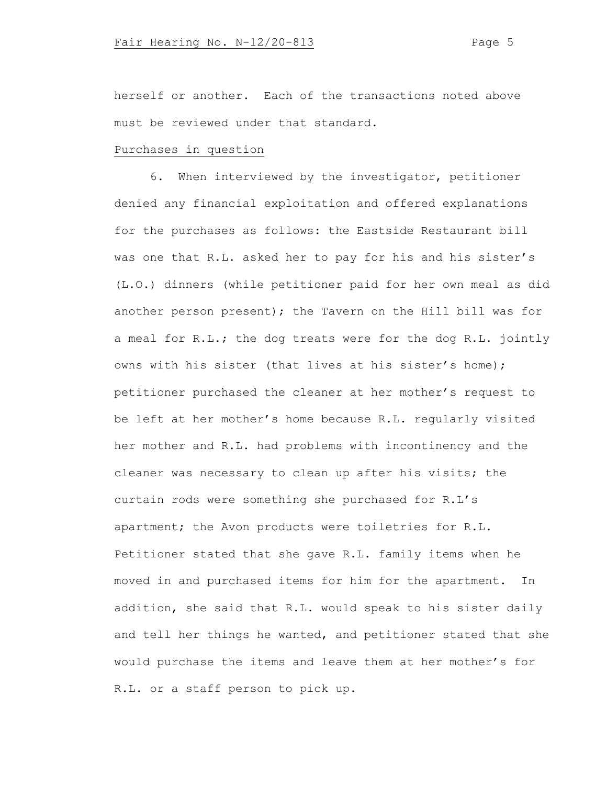herself or another. Each of the transactions noted above must be reviewed under that standard.

# Purchases in question

6. When interviewed by the investigator, petitioner denied any financial exploitation and offered explanations for the purchases as follows: the Eastside Restaurant bill was one that R.L. asked her to pay for his and his sister's (L.O.) dinners (while petitioner paid for her own meal as did another person present); the Tavern on the Hill bill was for a meal for R.L.; the dog treats were for the dog R.L. jointly owns with his sister (that lives at his sister's home); petitioner purchased the cleaner at her mother's request to be left at her mother's home because R.L. regularly visited her mother and R.L. had problems with incontinency and the cleaner was necessary to clean up after his visits; the curtain rods were something she purchased for R.L's apartment; the Avon products were toiletries for R.L. Petitioner stated that she gave R.L. family items when he moved in and purchased items for him for the apartment. In addition, she said that R.L. would speak to his sister daily and tell her things he wanted, and petitioner stated that she would purchase the items and leave them at her mother's for R.L. or a staff person to pick up.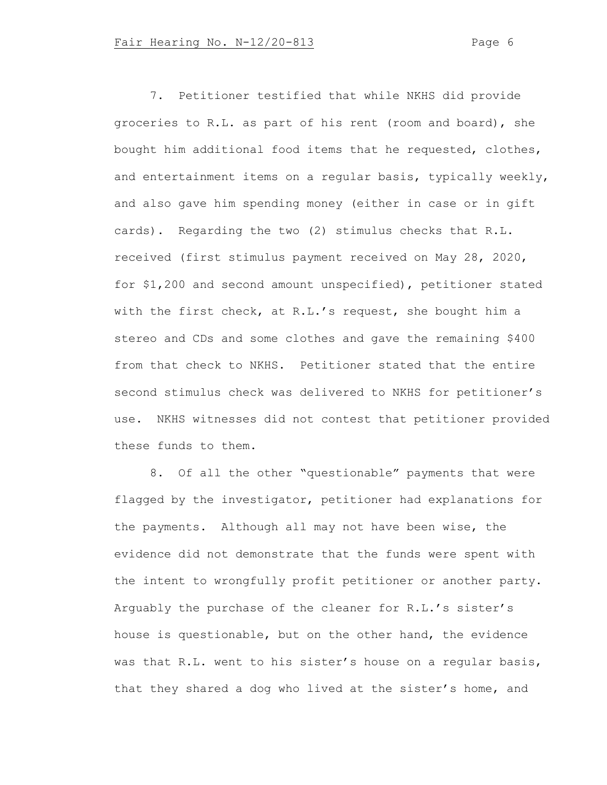7. Petitioner testified that while NKHS did provide groceries to R.L. as part of his rent (room and board), she bought him additional food items that he requested, clothes, and entertainment items on a regular basis, typically weekly, and also gave him spending money (either in case or in gift cards). Regarding the two (2) stimulus checks that R.L. received (first stimulus payment received on May 28, 2020, for \$1,200 and second amount unspecified), petitioner stated with the first check, at R.L.'s request, she bought him a stereo and CDs and some clothes and gave the remaining \$400 from that check to NKHS. Petitioner stated that the entire second stimulus check was delivered to NKHS for petitioner's use. NKHS witnesses did not contest that petitioner provided these funds to them.

8. Of all the other "questionable" payments that were flagged by the investigator, petitioner had explanations for the payments. Although all may not have been wise, the evidence did not demonstrate that the funds were spent with the intent to wrongfully profit petitioner or another party. Arguably the purchase of the cleaner for R.L.'s sister's house is questionable, but on the other hand, the evidence was that R.L. went to his sister's house on a regular basis, that they shared a dog who lived at the sister's home, and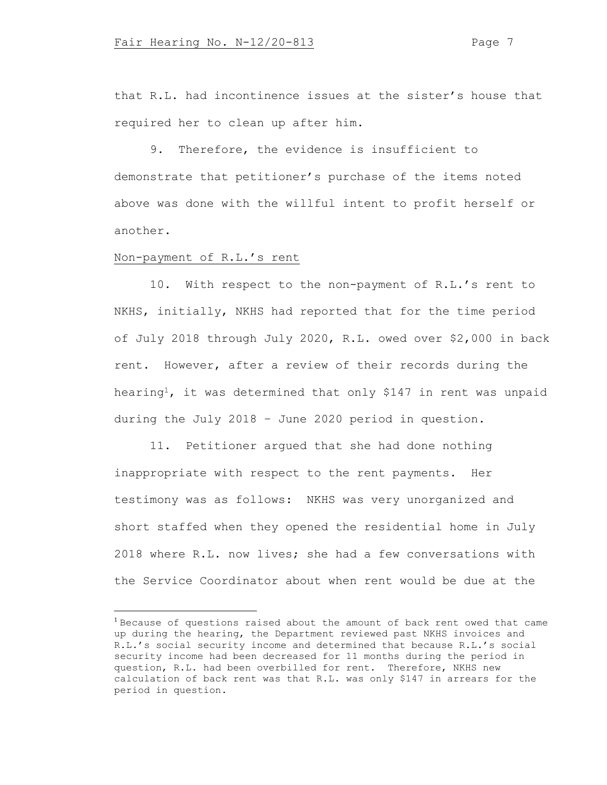that R.L. had incontinence issues at the sister's house that required her to clean up after him.

9. Therefore, the evidence is insufficient to demonstrate that petitioner's purchase of the items noted above was done with the willful intent to profit herself or another.

# Non-payment of R.L.'s rent

10. With respect to the non-payment of R.L.'s rent to NKHS, initially, NKHS had reported that for the time period of July 2018 through July 2020, R.L. owed over \$2,000 in back rent. However, after a review of their records during the hearing<sup>1</sup>, it was determined that only \$147 in rent was unpaid during the July 2018 – June 2020 period in question.

11. Petitioner argued that she had done nothing inappropriate with respect to the rent payments. Her testimony was as follows: NKHS was very unorganized and short staffed when they opened the residential home in July 2018 where R.L. now lives; she had a few conversations with the Service Coordinator about when rent would be due at the

<sup>&</sup>lt;sup>1</sup> Because of questions raised about the amount of back rent owed that came up during the hearing, the Department reviewed past NKHS invoices and R.L.'s social security income and determined that because R.L.'s social security income had been decreased for 11 months during the period in question, R.L. had been overbilled for rent. Therefore, NKHS new calculation of back rent was that R.L. was only \$147 in arrears for the period in question.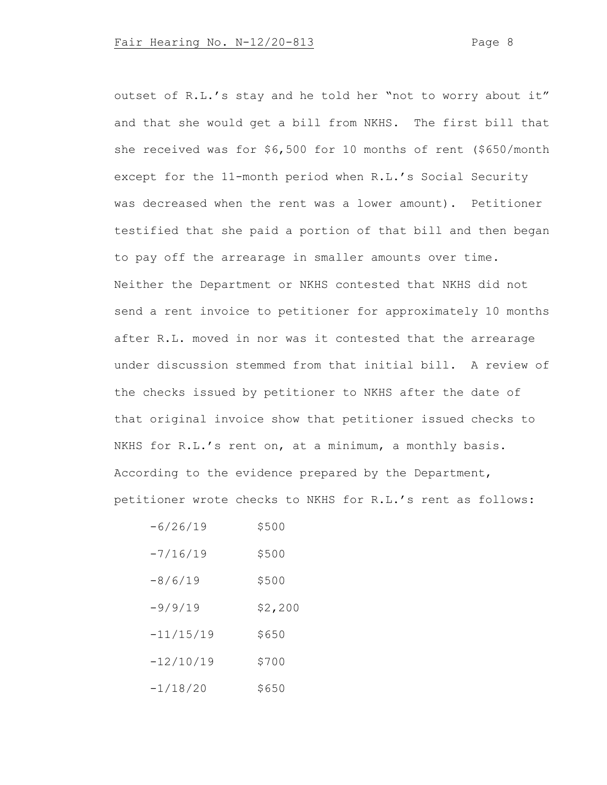outset of R.L.'s stay and he told her "not to worry about it" and that she would get a bill from NKHS. The first bill that she received was for \$6,500 for 10 months of rent (\$650/month except for the 11-month period when R.L.'s Social Security was decreased when the rent was a lower amount). Petitioner testified that she paid a portion of that bill and then began to pay off the arrearage in smaller amounts over time. Neither the Department or NKHS contested that NKHS did not send a rent invoice to petitioner for approximately 10 months after R.L. moved in nor was it contested that the arrearage under discussion stemmed from that initial bill. A review of the checks issued by petitioner to NKHS after the date of that original invoice show that petitioner issued checks to NKHS for R.L.'s rent on, at a minimum, a monthly basis. According to the evidence prepared by the Department, petitioner wrote checks to NKHS for R.L.'s rent as follows:

| $-6/26/19$  | \$500   |
|-------------|---------|
| $-7/16/19$  | \$500   |
| $-8/6/19$   | \$500   |
| $-9/9/19$   | \$2,200 |
| $-11/15/19$ | \$650   |
| $-12/10/19$ | \$700   |
| $-1/18/20$  | S650    |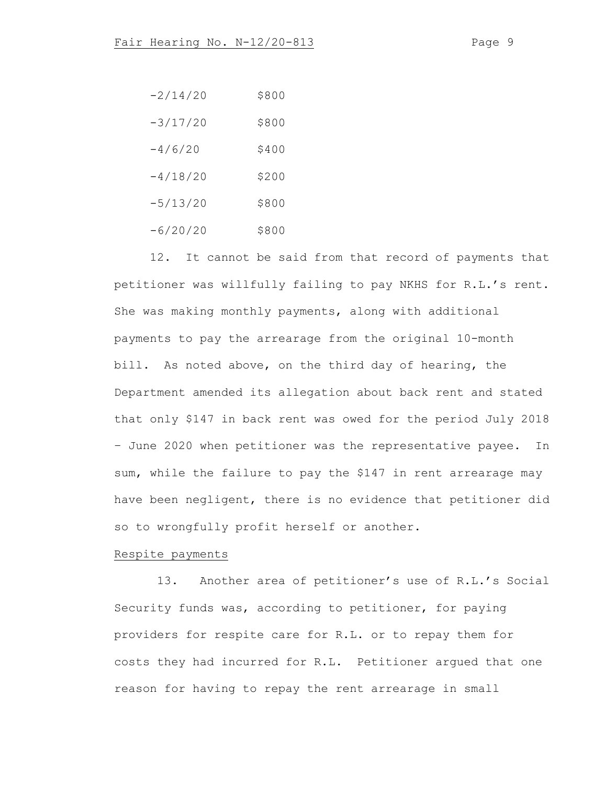| $-2/14/20$ | \$800 |
|------------|-------|
| $-3/17/20$ | \$800 |
| $-4/6/20$  | \$400 |
| $-4/18/20$ | \$200 |
| $-5/13/20$ | \$800 |
| $-6/20/20$ | \$800 |

12. It cannot be said from that record of payments that petitioner was willfully failing to pay NKHS for R.L.'s rent. She was making monthly payments, along with additional payments to pay the arrearage from the original 10-month bill. As noted above, on the third day of hearing, the Department amended its allegation about back rent and stated that only \$147 in back rent was owed for the period July 2018 – June 2020 when petitioner was the representative payee. In sum, while the failure to pay the \$147 in rent arrearage may have been negligent, there is no evidence that petitioner did so to wrongfully profit herself or another.

# Respite payments

13. Another area of petitioner's use of R.L.'s Social Security funds was, according to petitioner, for paying providers for respite care for R.L. or to repay them for costs they had incurred for R.L. Petitioner argued that one reason for having to repay the rent arrearage in small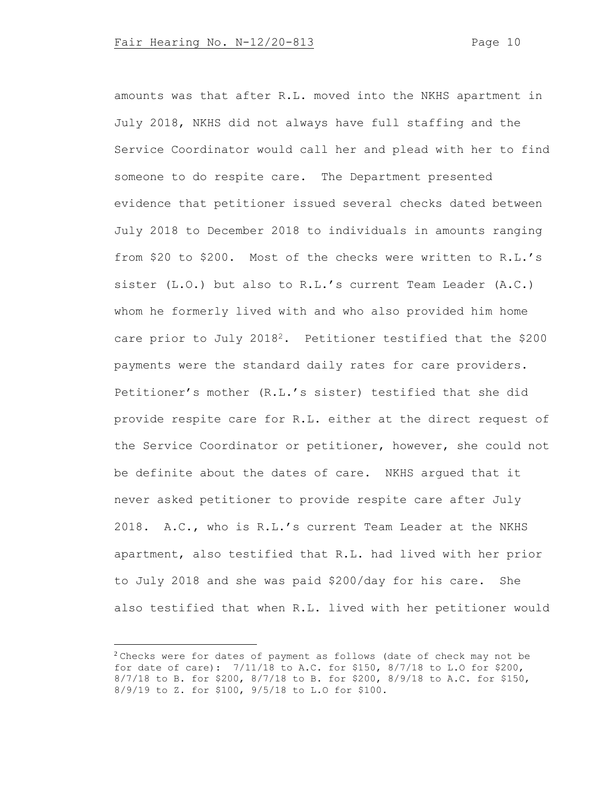amounts was that after R.L. moved into the NKHS apartment in July 2018, NKHS did not always have full staffing and the Service Coordinator would call her and plead with her to find someone to do respite care. The Department presented evidence that petitioner issued several checks dated between July 2018 to December 2018 to individuals in amounts ranging from \$20 to \$200. Most of the checks were written to R.L.'s sister (L.O.) but also to R.L.'s current Team Leader (A.C.) whom he formerly lived with and who also provided him home care prior to July 20182. Petitioner testified that the \$200 payments were the standard daily rates for care providers. Petitioner's mother (R.L.'s sister) testified that she did provide respite care for R.L. either at the direct request of the Service Coordinator or petitioner, however, she could not be definite about the dates of care. NKHS argued that it never asked petitioner to provide respite care after July 2018. A.C., who is R.L.'s current Team Leader at the NKHS apartment, also testified that R.L. had lived with her prior to July 2018 and she was paid \$200/day for his care. She also testified that when R.L. lived with her petitioner would

 $2$ Checks were for dates of payment as follows (date of check may not be for date of care): 7/11/18 to A.C. for \$150, 8/7/18 to L.O for \$200, 8/7/18 to B. for \$200, 8/7/18 to B. for \$200, 8/9/18 to A.C. for \$150, 8/9/19 to Z. for \$100, 9/5/18 to L.O for \$100.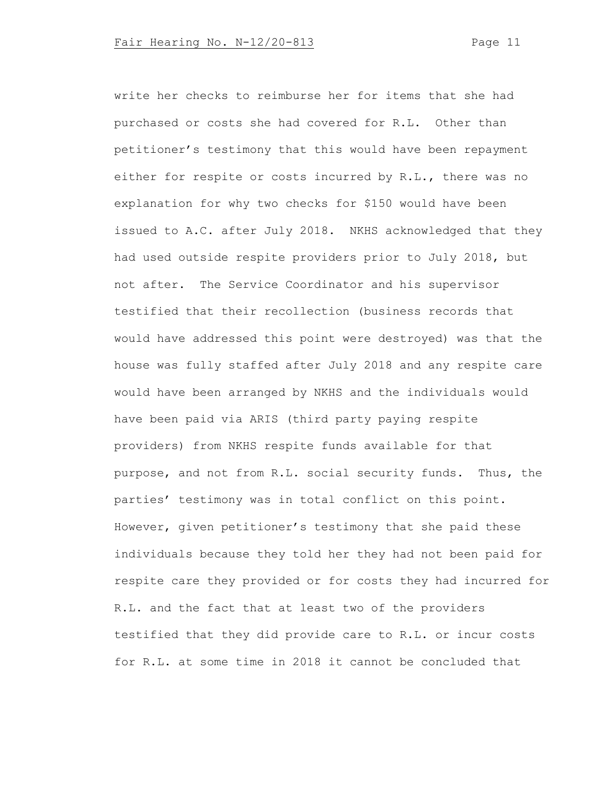write her checks to reimburse her for items that she had purchased or costs she had covered for R.L. Other than petitioner's testimony that this would have been repayment either for respite or costs incurred by R.L., there was no explanation for why two checks for \$150 would have been issued to A.C. after July 2018. NKHS acknowledged that they had used outside respite providers prior to July 2018, but not after. The Service Coordinator and his supervisor testified that their recollection (business records that would have addressed this point were destroyed) was that the house was fully staffed after July 2018 and any respite care would have been arranged by NKHS and the individuals would have been paid via ARIS (third party paying respite providers) from NKHS respite funds available for that purpose, and not from R.L. social security funds. Thus, the parties' testimony was in total conflict on this point. However, given petitioner's testimony that she paid these individuals because they told her they had not been paid for respite care they provided or for costs they had incurred for R.L. and the fact that at least two of the providers testified that they did provide care to R.L. or incur costs for R.L. at some time in 2018 it cannot be concluded that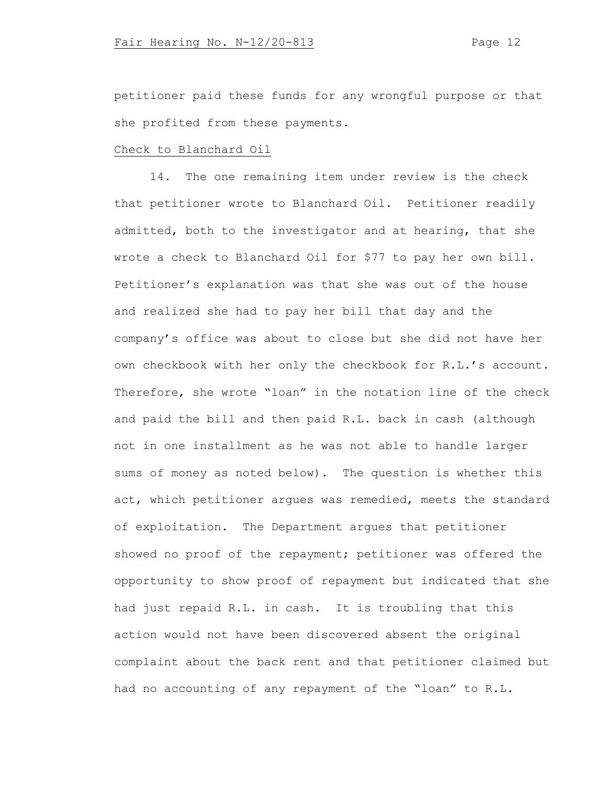petitioner paid these funds for any wrongful purpose or that she profited from these payments.

#### Check to Blanchard Oil

14. The one remaining item under review is the check that petitioner wrote to Blanchard Oil. Petitioner readily admitted, both to the investigator and at hearing, that she wrote a check to Blanchard Oil for \$77 to pay her own bill. Petitioner's explanation was that she was out of the house and realized she had to pay her bill that day and the company's office was about to close but she did not have her own checkbook with her only the checkbook for R.L.'s account. Therefore, she wrote "loan" in the notation line of the check and paid the bill and then paid R.L. back in cash (although not in one installment as he was not able to handle larger sums of money as noted below). The question is whether this act, which petitioner argues was remedied, meets the standard of exploitation. The Department argues that petitioner showed no proof of the repayment; petitioner was offered the opportunity to show proof of repayment but indicated that she had just repaid R.L. in cash. It is troubling that this action would not have been discovered absent the original complaint about the back rent and that petitioner claimed but had no accounting of any repayment of the "loan" to R.L.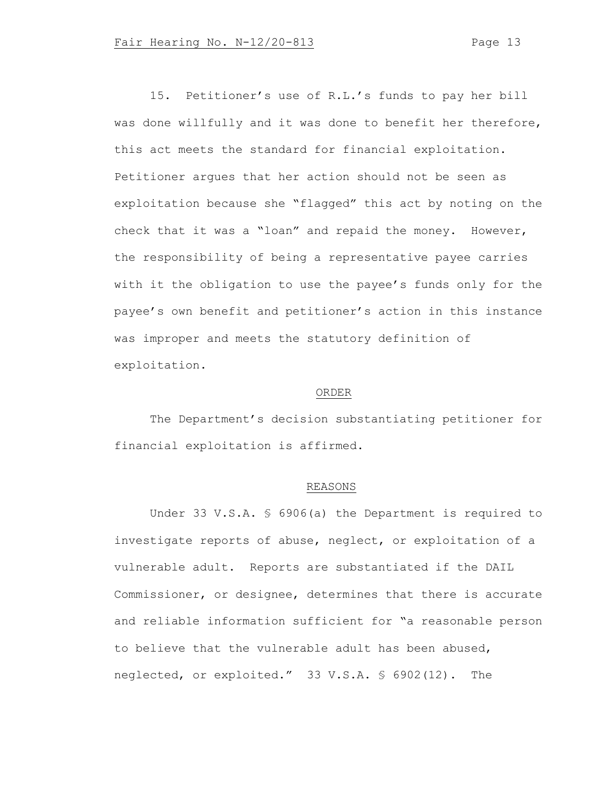15. Petitioner's use of R.L.'s funds to pay her bill was done willfully and it was done to benefit her therefore, this act meets the standard for financial exploitation. Petitioner argues that her action should not be seen as exploitation because she "flagged" this act by noting on the check that it was a "loan" and repaid the money. However, the responsibility of being a representative payee carries with it the obligation to use the payee's funds only for the payee's own benefit and petitioner's action in this instance was improper and meets the statutory definition of exploitation.

# ORDER

The Department's decision substantiating petitioner for financial exploitation is affirmed.

# REASONS

Under 33 V.S.A. § 6906(a) the Department is required to investigate reports of abuse, neglect, or exploitation of a vulnerable adult. Reports are substantiated if the DAIL Commissioner, or designee, determines that there is accurate and reliable information sufficient for "a reasonable person to believe that the vulnerable adult has been abused, neglected, or exploited." 33 V.S.A. § 6902(12). The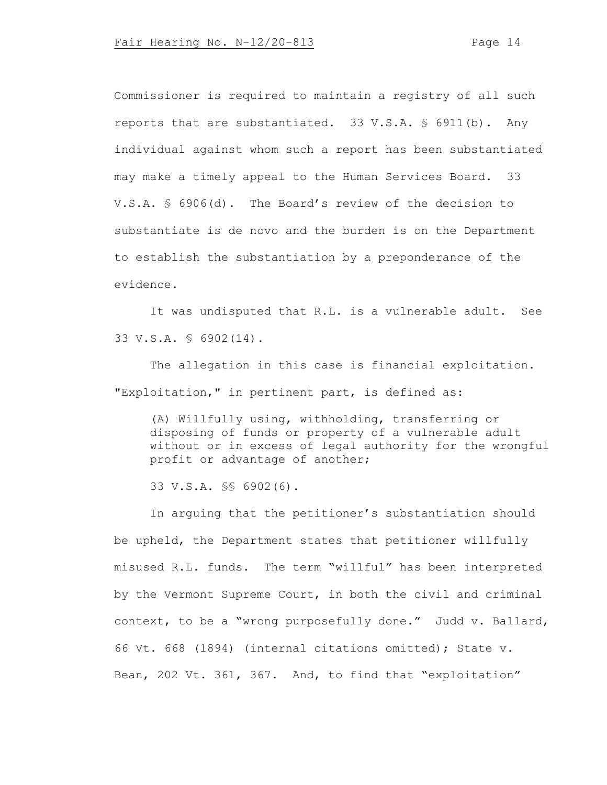Commissioner is required to maintain a registry of all such reports that are substantiated. 33 V.S.A. § 6911(b). Any individual against whom such a report has been substantiated may make a timely appeal to the Human Services Board. 33 V.S.A. § 6906(d). The Board's review of the decision to substantiate is de novo and the burden is on the Department to establish the substantiation by a preponderance of the evidence.

It was undisputed that R.L. is a vulnerable adult. See 33 V.S.A. § 6902(14).

The allegation in this case is financial exploitation. "Exploitation," in pertinent part, is defined as:

(A) Willfully using, withholding, transferring or disposing of funds or property of a vulnerable adult without or in excess of legal authority for the wrongful profit or advantage of another;

33 V.S.A. §§ 6902(6).

In arguing that the petitioner's substantiation should be upheld, the Department states that petitioner willfully misused R.L. funds. The term "willful" has been interpreted by the Vermont Supreme Court, in both the civil and criminal context, to be a "wrong purposefully done." Judd v. Ballard, 66 Vt. 668 (1894) (internal citations omitted); State v. Bean, 202 Vt. 361, 367. And, to find that "exploitation"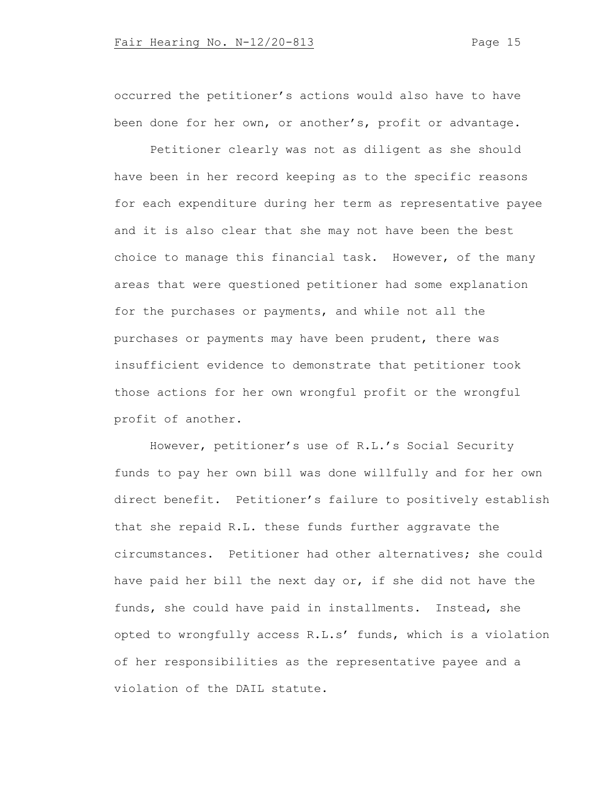occurred the petitioner's actions would also have to have been done for her own, or another's, profit or advantage.

Petitioner clearly was not as diligent as she should have been in her record keeping as to the specific reasons for each expenditure during her term as representative payee and it is also clear that she may not have been the best choice to manage this financial task. However, of the many areas that were questioned petitioner had some explanation for the purchases or payments, and while not all the purchases or payments may have been prudent, there was insufficient evidence to demonstrate that petitioner took those actions for her own wrongful profit or the wrongful profit of another.

However, petitioner's use of R.L.'s Social Security funds to pay her own bill was done willfully and for her own direct benefit. Petitioner's failure to positively establish that she repaid R.L. these funds further aggravate the circumstances. Petitioner had other alternatives; she could have paid her bill the next day or, if she did not have the funds, she could have paid in installments. Instead, she opted to wrongfully access R.L.s' funds, which is a violation of her responsibilities as the representative payee and a violation of the DAIL statute.